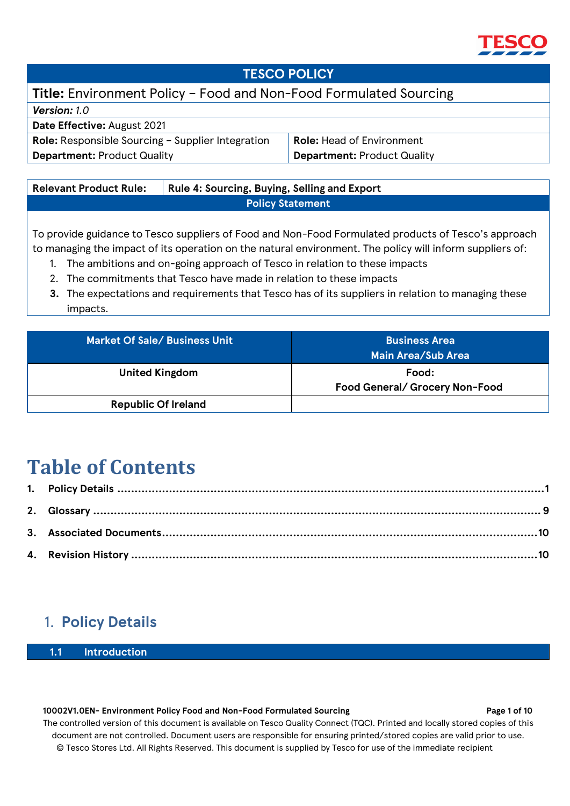

### **TESCO POLICY**

## **Title:** Environment Policy – Food and Non-Food Formulated Sourcing

| <b>Version:</b> 1.0                                      |                                    |
|----------------------------------------------------------|------------------------------------|
| Date Effective: August 2021                              |                                    |
| <b>Role:</b> Responsible Sourcing – Supplier Integration | <b>Role: Head of Environment</b>   |
| <b>Department: Product Quality</b>                       | <b>Department: Product Quality</b> |

| <b>Relevant Product Rule:</b> | Rule 4: Sourcing, Buying, Selling and Export |  |
|-------------------------------|----------------------------------------------|--|
| <b>Policy Statement</b>       |                                              |  |
|                               |                                              |  |

To provide guidance to Tesco suppliers of Food and Non-Food Formulated products of Tesco's approach to managing the impact of its operation on the natural environment. The policy will inform suppliers of:

- 1. The ambitions and on-going approach of Tesco in relation to these impacts
- 2. The commitments that Tesco have made in relation to these impacts
- **3.** The expectations and requirements that Tesco has of its suppliers in relation to managing these impacts.

| Market Of Sale/ Business Unit | <b>Business Area</b><br>  Main Area/Sub Area |
|-------------------------------|----------------------------------------------|
| <b>United Kingdom</b>         | Food:<br>Food General/ Grocery Non-Food      |
| <b>Republic Of Ireland</b>    |                                              |

# **Table of Contents**

# <span id="page-0-0"></span>1. **Policy Details**

**1.1 Introduction**

#### **10002V1.0EN- Environment Policy Food and Non-Food Formulated Sourcing Page 1 of 10** Page 1 of 10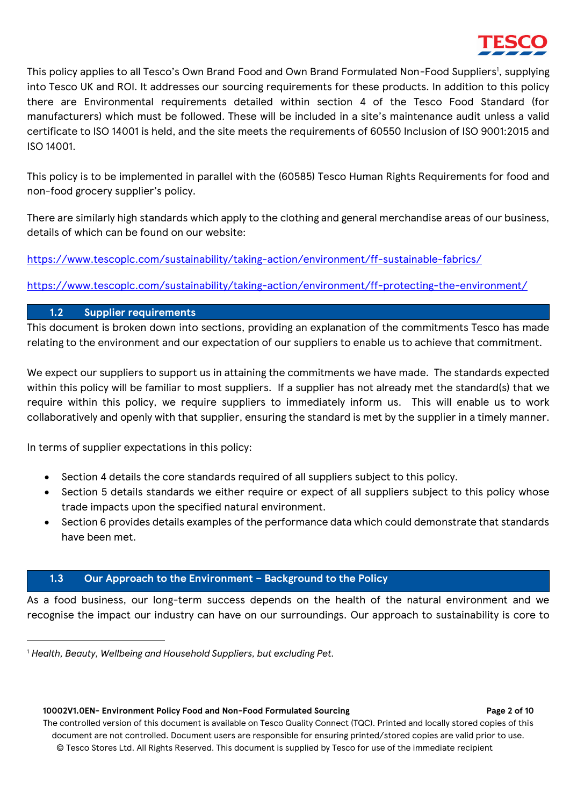This policy applies to all Tesco's Own Brand Food and Own Brand Formulated Non-Food Suppliers<sup>1</sup>, supplying into Tesco UK and ROI. It addresses our sourcing requirements for these products. In addition to this policy there are Environmental requirements detailed within section 4 of the Tesco Food Standard (for manufacturers) which must be followed. These will be included in a site's maintenance audit unless a valid certificate to ISO 14001 is held, and the site meets the requirements of 60550 Inclusion of ISO 9001:2015 and ISO 14001.

This policy is to be implemented in parallel with the (60585) Tesco Human Rights Requirements for food and non-food grocery supplier's policy.

There are similarly high standards which apply to the clothing and general merchandise areas of our business, details of which can be found on our website:

<https://www.tescoplc.com/sustainability/taking-action/environment/ff-sustainable-fabrics/>

<https://www.tescoplc.com/sustainability/taking-action/environment/ff-protecting-the-environment/>

### **1.2 Supplier requirements**

This document is broken down into sections, providing an explanation of the commitments Tesco has made relating to the environment and our expectation of our suppliers to enable us to achieve that commitment.

We expect our suppliers to support us in attaining the commitments we have made. The standards expected within this policy will be familiar to most suppliers. If a supplier has not already met the standard(s) that we require within this policy, we require suppliers to immediately inform us. This will enable us to work collaboratively and openly with that supplier, ensuring the standard is met by the supplier in a timely manner.

In terms of supplier expectations in this policy:

- Section 4 details the core standards required of all suppliers subject to this policy.
- Section 5 details standards we either require or expect of all suppliers subject to this policy whose trade impacts upon the specified natural environment.
- Section 6 provides details examples of the performance data which could demonstrate that standards have been met.

#### **1.3 Our Approach to the Environment – Background to the Policy**

As a food business, our long-term success depends on the health of the natural environment and we recognise the impact our industry can have on our surroundings. Our approach to sustainability is core to

 **10002V1.0EN- Environment Policy Food and Non-Food Formulated Sourcing Page 2 of 10**

<sup>1</sup> *Health, Beauty, Wellbeing and Household Suppliers, but excluding Pet.*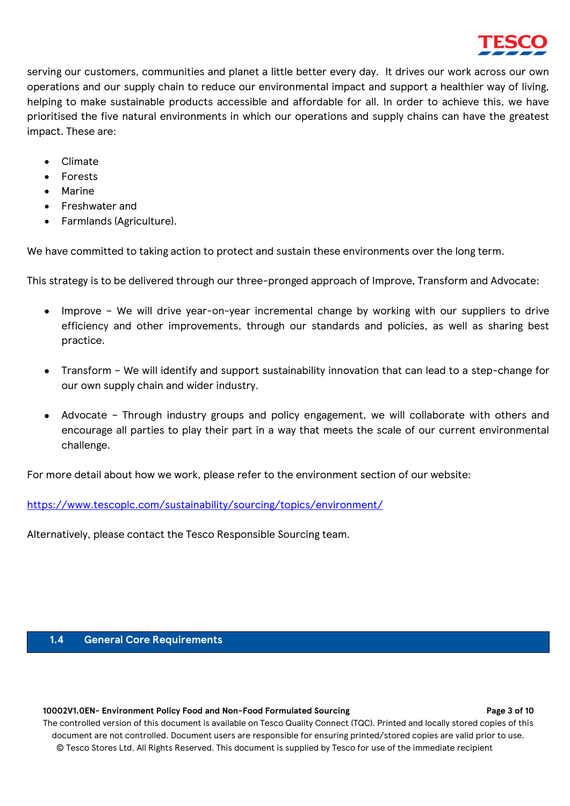

serving our customers, communities and planet a little better every day. It drives our work across our own operations and our supply chain to reduce our environmental impact and support a healthier way of living, helping to make sustainable products accessible and affordable for all. In order to achieve this, we have prioritised the five natural environments in which our operations and supply chains can have the greatest impact. These are:

- Climate
- Forests
- Marine
- Freshwater and
- Farmlands (Agriculture).

We have committed to taking action to protect and sustain these environments over the long term.

This strategy is to be delivered through our three-pronged approach of Improve, Transform and Advocate:

- Improve We will drive year-on-year incremental change by working with our suppliers to drive efficiency and other improvements, through our standards and policies, as well as sharing best practice.
- Transform We will identify and support sustainability innovation that can lead to a step-change for our own supply chain and wider industry.
- Advocate Through industry groups and policy engagement, we will collaborate with others and encourage all parties to play their part in a way that meets the scale of our current environmental challenge.

For more detail about how we work, please refer to the environment section of our website:

<https://www.tescoplc.com/sustainability/sourcing/topics/environment/>

Alternatively, please contact the Tesco Responsible Sourcing team.

#### **1.4 General Core Requirements**

#### **10002V1.0EN- Environment Policy Food and Non-Food Formulated Sourcing Page 3 of 10**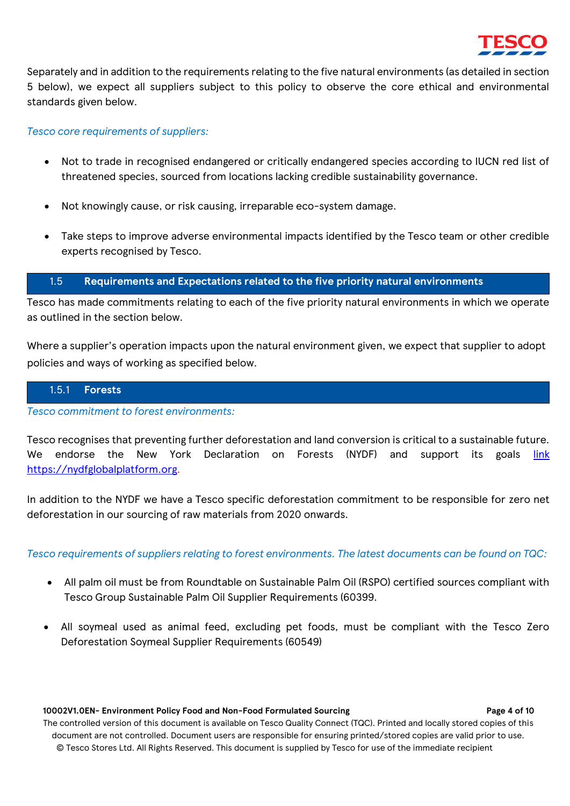

Separately and in addition to the requirements relating to the five natural environments (as detailed in section 5 below), we expect all suppliers subject to this policy to observe the core ethical and environmental standards given below.

#### *Tesco core requirements of suppliers:*

- Not to trade in recognised endangered or critically endangered species according to IUCN red list of threatened species, sourced from locations lacking credible sustainability governance.
- Not knowingly cause, or risk causing, irreparable eco-system damage.
- Take steps to improve adverse environmental impacts identified by the Tesco team or other credible experts recognised by Tesco.

#### 1.5 **Requirements and Expectations related to the five priority natural environments**

Tesco has made commitments relating to each of the five priority natural environments in which we operate as outlined in the section below.

Where a supplier's operation impacts upon the natural environment given, we expect that supplier to adopt policies and ways of working as specified below.

#### 1.5.1 **Forests**

*Tesco commitment to forest environments:*

Tesco recognises that preventing further deforestation and land conversion is critical to a sustainable future. We endorse the New York Declaration on Forests (NYDF) and support its goals *[link](https://nydfglobalplatform.org/)* [https://nydfglobalplatform.org.](https://nydfglobalplatform.org/)

In addition to the NYDF we have a Tesco specific deforestation commitment to be responsible for zero net deforestation in our sourcing of raw materials from 2020 onwards.

*Tesco requirements of suppliers relating to forest environments. The latest documents can be found on TQC:*

- All palm oil must be from Roundtable on Sustainable Palm Oil (RSPO) certified sources compliant with Tesco Group Sustainable Palm Oil Supplier Requirements (60399.
- All soymeal used as animal feed, excluding pet foods, must be compliant with the Tesco Zero Deforestation Soymeal Supplier Requirements (60549)

#### **10002V1.0EN- Environment Policy Food and Non-Food Formulated Sourcing Page 4 of 10** Page 4 of 10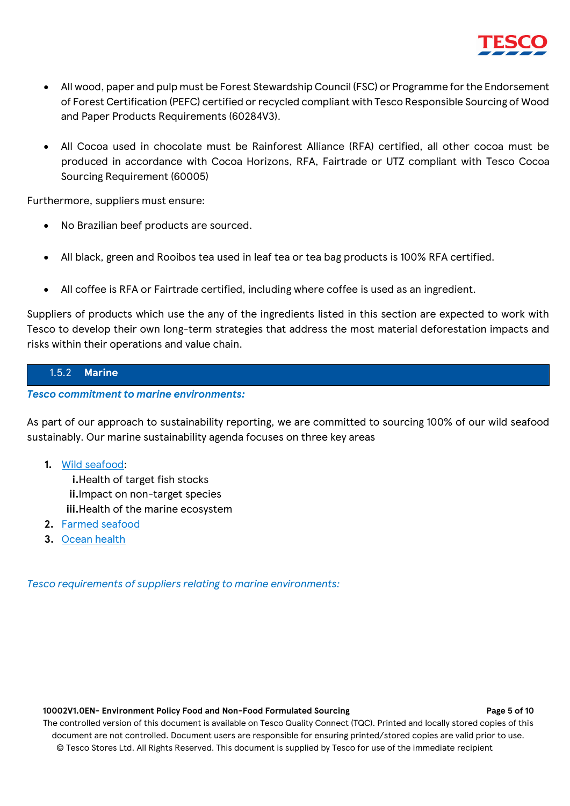

- All wood, paper and pulp must be Forest Stewardship Council (FSC) or Programme for the Endorsement of Forest Certification (PEFC) certified or recycled compliant with Tesco Responsible Sourcing of Wood and Paper Products Requirements (60284V3).
- All Cocoa used in chocolate must be Rainforest Alliance (RFA) certified, all other cocoa must be produced in accordance with Cocoa Horizons, RFA, Fairtrade or UTZ compliant with Tesco Cocoa Sourcing Requirement (60005)

Furthermore, suppliers must ensure:

- No Brazilian beef products are sourced.
- All black, green and Rooibos tea used in leaf tea or tea bag products is 100% RFA certified.
- All coffee is RFA or Fairtrade certified, including where coffee is used as an ingredient.

Suppliers of products which use the any of the ingredients listed in this section are expected to work with Tesco to develop their own long-term strategies that address the most material deforestation impacts and risks within their operations and value chain.

### 1.5.2 **Marine**

*Tesco commitment to marine environments:*

As part of our approach to sustainability reporting, we are committed to sourcing 100% of our wild seafood sustainably. Our marine sustainability agenda focuses on three key areas

**1.** Wild seafood:

**i.**Health of target fish stocks **ii.**Impact on non-target species **iii.**Health of the marine ecosystem

- **2.** Farmed seafood
- **3.** Ocean health

*Tesco requirements of suppliers relating to marine environments:*

#### **10002V1.0EN-** Environment Policy Food and Non-Food Formulated Sourcing Page 10 Page 5 of 10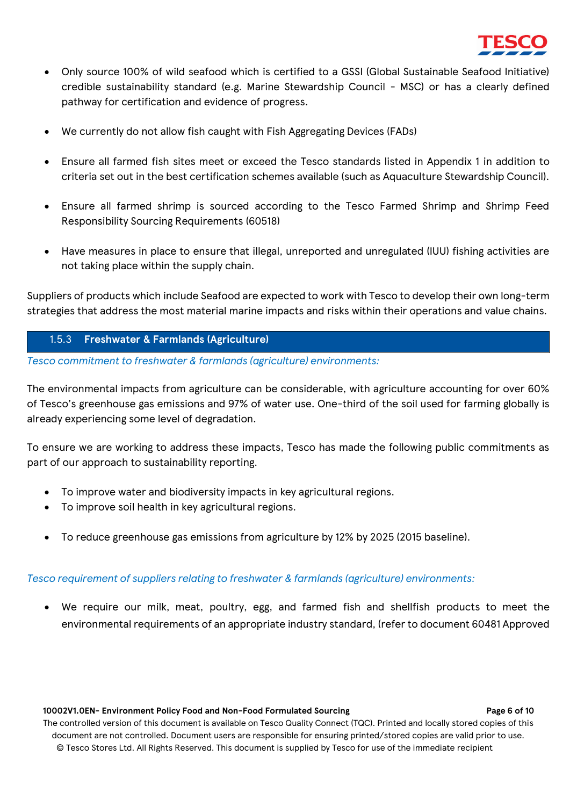

- Only source 100% of wild seafood which is certified to a GSSI (Global Sustainable Seafood Initiative) credible sustainability standard (e.g. Marine Stewardship Council - MSC) or has a clearly defined pathway for certification and evidence of progress.
- We currently do not allow fish caught with Fish Aggregating Devices (FADs)
- Ensure all farmed fish sites meet or exceed the Tesco standards listed in Appendix 1 in addition to criteria set out in the best certification schemes available (such as Aquaculture Stewardship Council).
- Ensure all farmed shrimp is sourced according to the Tesco Farmed Shrimp and Shrimp Feed Responsibility Sourcing Requirements (60518)
- Have measures in place to ensure that illegal, unreported and unregulated (IUU) fishing activities are not taking place within the supply chain.

Suppliers of products which include Seafood are expected to work with Tesco to develop their own long-term strategies that address the most material marine impacts and risks within their operations and value chains.

#### 1.5.3 **Freshwater & Farmlands (Agriculture)**

*Tesco commitment to freshwater & farmlands (agriculture) environments:*

The environmental impacts from agriculture can be considerable, with agriculture accounting for over 60% of Tesco's greenhouse gas emissions and 97% of water use. One-third of the soil used for farming globally is already experiencing some level of degradation.

To ensure we are working to address these impacts, Tesco has made the following public commitments as part of our approach to sustainability reporting.

- To improve water and biodiversity impacts in key agricultural regions.
- To improve soil health in key agricultural regions.
- To reduce greenhouse gas emissions from agriculture by 12% by 2025 (2015 baseline).

#### *Tesco requirement of suppliers relating to freshwater & farmlands (agriculture) environments:*

• We require our milk, meat, poultry, egg, and farmed fish and shellfish products to meet the environmental requirements of an appropriate industry standard, (refer to document 60481 Approved

#### **10002V1.0EN- Environment Policy Food and Non-Food Formulated Sourcing Page 6 Page 6** of 10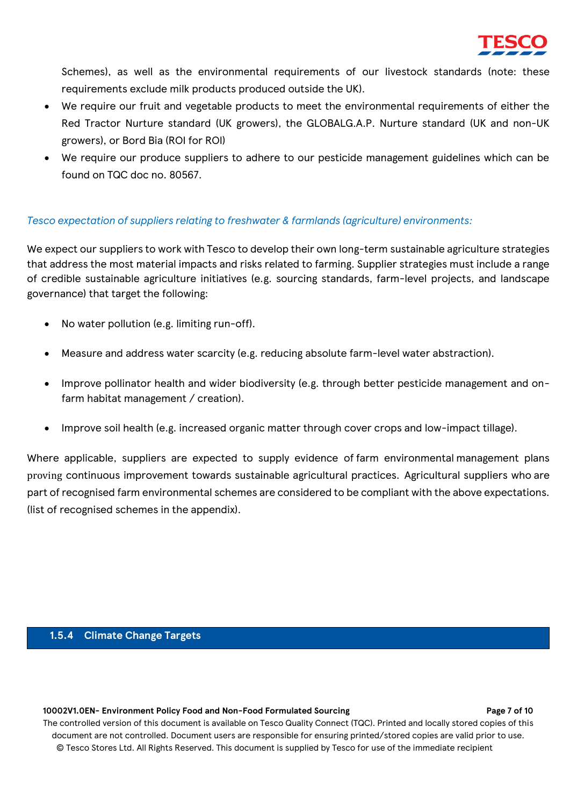

Schemes), as well as the environmental requirements of our livestock standards (note: these requirements exclude milk products produced outside the UK).

- We require our fruit and vegetable products to meet the environmental requirements of either the Red Tractor Nurture standard (UK growers), the GLOBALG.A.P. Nurture standard (UK and non-UK growers), or Bord Bia (ROI for ROI)
- We require our produce suppliers to adhere to our pesticide management guidelines which can be found on TQC doc no. 80567.

#### *Tesco expectation of suppliers relating to freshwater & farmlands (agriculture) environments:*

We expect our suppliers to work with Tesco to develop their own long-term sustainable agriculture strategies that address the most material impacts and risks related to farming. Supplier strategies must include a range of credible sustainable agriculture initiatives (e.g. sourcing standards, farm-level projects, and landscape governance) that target the following:

- No water pollution (e.g. limiting run-off).
- Measure and address water scarcity (e.g. reducing absolute farm-level water abstraction).
- Improve pollinator health and wider biodiversity (e.g. through better pesticide management and onfarm habitat management / creation).
- Improve soil health (e.g. increased organic matter through cover crops and low-impact tillage).

Where applicable, suppliers are expected to supply evidence of farm environmental management plans proving continuous improvement towards sustainable agricultural practices. Agricultural suppliers who are part of recognised farm environmental schemes are considered to be compliant with the above expectations. (list of recognised schemes in the appendix).

#### **1.5.4 Climate Change Targets**

#### **10002V1.0EN- Environment Policy Food and Non-Food Formulated Sourcing Page 7 of 10** Page 7 of 10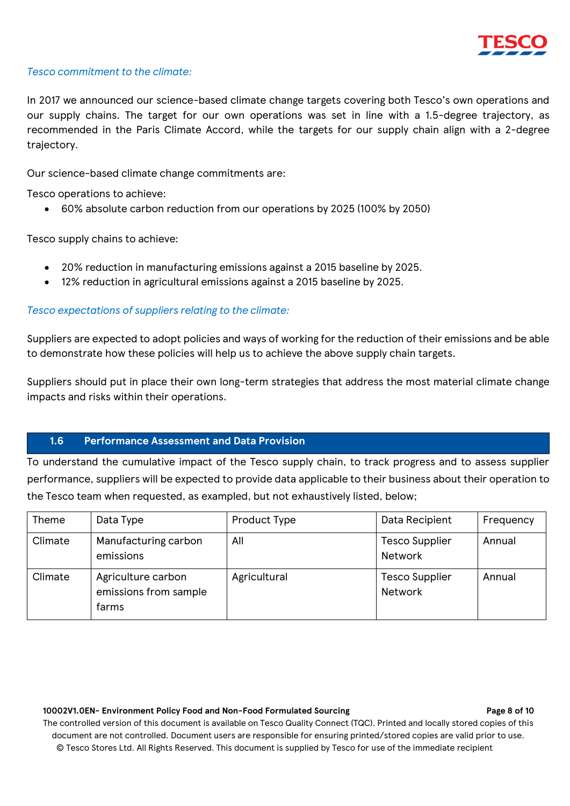

#### *Tesco commitment to the climate:*

In 2017 we announced our science-based climate change targets covering both Tesco's own operations and our supply chains. The target for our own operations was set in line with a 1.5-degree trajectory, as recommended in the Paris Climate Accord, while the targets for our supply chain align with a 2-degree trajectory.

Our science-based climate change commitments are:

Tesco operations to achieve:

• 60% absolute carbon reduction from our operations by 2025 (100% by 2050)

Tesco supply chains to achieve:

- 20% reduction in manufacturing emissions against a 2015 baseline by 2025.
- 12% reduction in agricultural emissions against a 2015 baseline by 2025.

#### *Tesco expectations of suppliers relating to the climate:*

Suppliers are expected to adopt policies and ways of working for the reduction of their emissions and be able to demonstrate how these policies will help us to achieve the above supply chain targets.

Suppliers should put in place their own long-term strategies that address the most material climate change impacts and risks within their operations.

#### **1.6 Performance Assessment and Data Provision**

To understand the cumulative impact of the Tesco supply chain, to track progress and to assess supplier performance, suppliers will be expected to provide data applicable to their business about their operation to the Tesco team when requested, as exampled, but not exhaustively listed, below;

| Theme   | Data Type                                            | Product Type | Data Recipient                          | Frequency |
|---------|------------------------------------------------------|--------------|-----------------------------------------|-----------|
| Climate | Manufacturing carbon<br>emissions                    | All          | <b>Tesco Supplier</b><br><b>Network</b> | Annual    |
| Climate | Agriculture carbon<br>emissions from sample<br>farms | Agricultural | <b>Tesco Supplier</b><br><b>Network</b> | Annual    |

#### 10002V1.0EN- Environment Policy Food and Non-Food Formulated Sourcing **Page 8 Page 8** of 10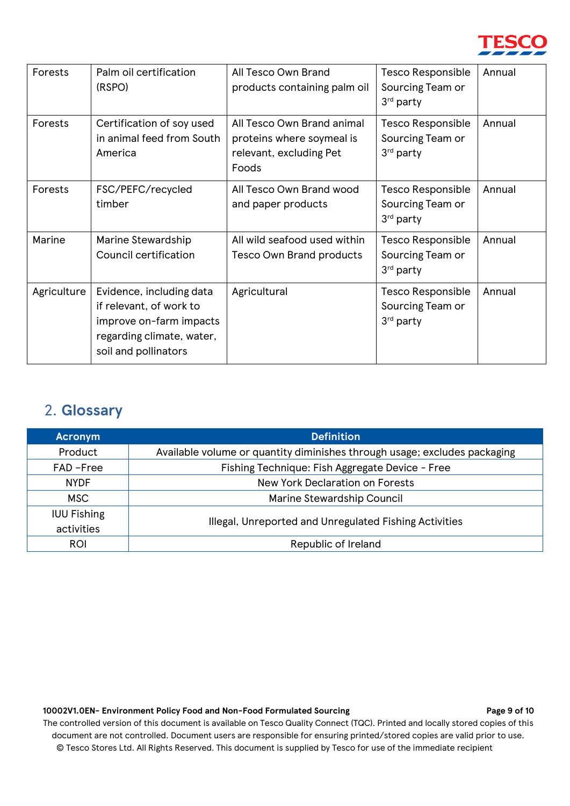

| Forests     | Palm oil certification<br>(RSPO)                                                                                                    | All Tesco Own Brand<br>products containing palm oil                                         | Tesco Responsible<br>Sourcing Team or<br>3rd party                    | Annual |
|-------------|-------------------------------------------------------------------------------------------------------------------------------------|---------------------------------------------------------------------------------------------|-----------------------------------------------------------------------|--------|
| Forests     | Certification of soy used<br>in animal feed from South<br>America                                                                   | All Tesco Own Brand animal<br>proteins where soymeal is<br>relevant, excluding Pet<br>Foods | <b>Tesco Responsible</b><br>Sourcing Team or<br>3 <sup>rd</sup> party | Annual |
| Forests     | FSC/PEFC/recycled<br>timber                                                                                                         | All Tesco Own Brand wood<br>and paper products                                              | Tesco Responsible<br>Sourcing Team or<br>3rd party                    | Annual |
| Marine      | Marine Stewardship<br>Council certification                                                                                         | All wild seafood used within<br><b>Tesco Own Brand products</b>                             | Tesco Responsible<br>Sourcing Team or<br>3rd party                    | Annual |
| Agriculture | Evidence, including data<br>if relevant, of work to<br>improve on-farm impacts<br>regarding climate, water,<br>soil and pollinators | Agricultural                                                                                | <b>Tesco Responsible</b><br>Sourcing Team or<br>3rd party             | Annual |

# <span id="page-8-0"></span>2. **Glossary**

| <b>Acronym</b>     | <b>Definition</b>                                                         |  |  |
|--------------------|---------------------------------------------------------------------------|--|--|
| Product            | Available volume or quantity diminishes through usage; excludes packaging |  |  |
| FAD-Free           | Fishing Technique: Fish Aggregate Device - Free                           |  |  |
| <b>NYDF</b>        | New York Declaration on Forests                                           |  |  |
| MSC.               | Marine Stewardship Council                                                |  |  |
| <b>IUU Fishing</b> | Illegal, Unreported and Unregulated Fishing Activities                    |  |  |
| activities         |                                                                           |  |  |
| <b>ROI</b>         | Republic of Ireland                                                       |  |  |
|                    |                                                                           |  |  |

#### 10002V1.0EN- Environment Policy Food and Non-Food Formulated Sourcing Page 9 of 10